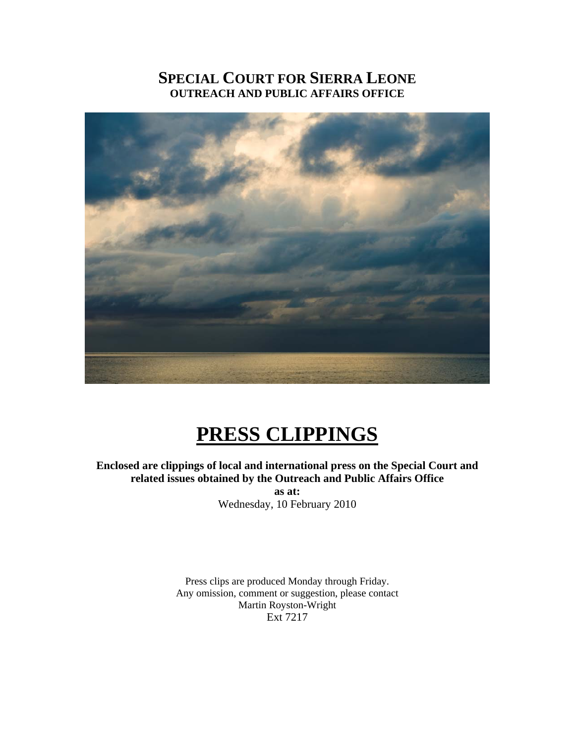# **SPECIAL COURT FOR SIERRA LEONE OUTREACH AND PUBLIC AFFAIRS OFFICE**



# **PRESS CLIPPINGS**

### **Enclosed are clippings of local and international press on the Special Court and related issues obtained by the Outreach and Public Affairs Office**

**as at:**  Wednesday, 10 February 2010

Press clips are produced Monday through Friday. Any omission, comment or suggestion, please contact Martin Royston-Wright Ext 7217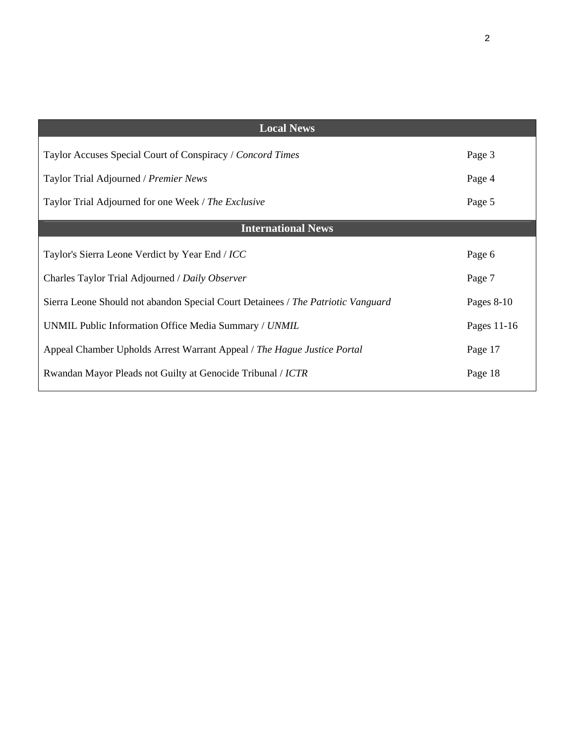| <b>Local News</b>                                                                |              |
|----------------------------------------------------------------------------------|--------------|
| Taylor Accuses Special Court of Conspiracy / Concord Times                       | Page 3       |
| Taylor Trial Adjourned / Premier News                                            | Page 4       |
| Taylor Trial Adjourned for one Week / The Exclusive                              | Page 5       |
| <b>International News</b>                                                        |              |
| Taylor's Sierra Leone Verdict by Year End / ICC                                  | Page 6       |
| Charles Taylor Trial Adjourned / Daily Observer                                  | Page 7       |
| Sierra Leone Should not abandon Special Court Detainees / The Patriotic Vanguard | Pages $8-10$ |
| UNMIL Public Information Office Media Summary / UNMIL                            | Pages 11-16  |
| Appeal Chamber Upholds Arrest Warrant Appeal / The Hague Justice Portal          | Page 17      |
| Rwandan Mayor Pleads not Guilty at Genocide Tribunal / ICTR                      | Page 18      |
|                                                                                  |              |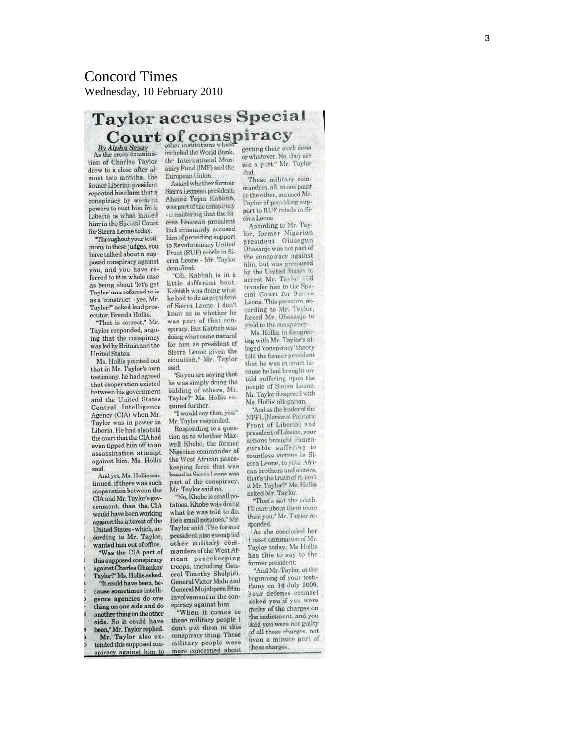### Concord Times Wednesday, 10 February 2010

# **Taylor accuses Special** Court of conspiracy

By Alpha Sesay<br>As the cross-examination of Charles Taylor drew to a close after almost two months, the former Liberian president repeated his claim that a conspiracy by western powers to oust him fro h Liberia is what landed him in the Special Court for Sierra Leone today.

Throughout your testimony to these judges, you have talked about a supposed conspiracy against you, and you have referred to this whole case as being soout 'let's get Taylor' and referred to is as a 'construct' - yes, Mr. Taylor?" asked lead prosecutor, Brenda Hollis.

"That is correct." Mr. Taylor responded, arguing that the conspiracy was led by Britain and the **United States** 

Ms. Hollis pointed out that in Mr. Taylor's own testimony, he had agreed that cooperation existed between his government and the United States Central Intelligence Agency (CIA) when Mr. Taylor was in power in Liberia. He had also told the court that the CIA had even tipped him off to an assassination attempt against him, Ms. Hollis said.

And yet, Ms. Hollis con tinued, if there was such cooperation between the CIA and Mr. Taylor's government, then the, CIA would have been working against the interest of the United States - which, according to Mr. Taylor, wanted him out of office.

'Was the CIA part of this supposed conspiracy against Charles Ghankay Taylor?" Ms. Hollis asked. "It could have been, be-

cause sometimes intelligence agencies do one thing on one side and do another thing on the other side. So it could have been," Mr. Taylor replied. Mr. Taylor also extended this supposed conspiracy against him to

the International Monetary Fund (IMF) and the European Union.

Asked whether former Sierra Leonean president, Ahmed Tejan Kabbah, was part of the conspiracy - considering that the Sierra Leonean president had constantly accused him of providing support to Revolutionary United Front (RUF) rebels in Sierra Leone - Mr. Taylor demutred.

"Of Kabbah is in a little different boat. Kabbah was doing what he had to do as president of Sierra Leone. I don't know as to whether he was part of that conspiracy. But Kabbah was doing what came natural for him as president of Sierra Leone given the situation," Mr. Taylor hies "So you are saying that

he was simply doing the bidding of others, Mr. Taylor?" Ms. Hollis enquired further.

"I would say that, yes," Mr. Taylor responded.

Responding to a question as to whether Maxwell Khobe, the former Nigerian commander of the West African peacekeeping force that was hased in Sierra Leone was part of the conspiracy, Mr. Taylor said no.

'No, Khobe is small potatoes. Khobe was doing what he was told to do. He's small potatoes," Mr. Taylor said. The former president also exempted other military commanders of the West African peacekeeping troops, including General Timothy Shelpidi, General Victor Malu and General Mujaltpero from involvement in the conspiracy against him.

"When it comes to these military people I don't put them in this conspiracy thing. These military people were more concerned about

getting their work done or whatever. No, they are not a part," Mr. Taylor  $-4id.$ 

These military commanders, all, at one point or the other, accused Mr. Taylor of providing support to RUF rebels in Sierra Leone

According to Mr. Taylor, former Nigerian president Olusegun Obasanjo was not part of the conspiracy against him, but was pressured<br>by the United States to arrest Mr. Taylor and transfer him to the Special Court for Sierra Leone. This pressure, according to Mr. Taylor, forced Mr. Obasanjo to vield to the conspiracy

Ms. Hollis, in disagreeing with Mr. Taylor's alleged 'conspiracy' theory told the former president that he was in court because he had brought untold suffering upon the people of Sierra Leone. Mr. Taylor disagreed with Ms. Hollis' allegation.

"And as the leader of the **NPFL** (National Patriotic Front of Liberia] and president of Liberia, your actions brought mimeasurable suffering to countless victims in Sierra Leone, to your African brothers and sisters, that's the truth of it, ian't it Mr. Taylor?" Ms. Hollis asked Mr. Taylor.

"That's not the wuth. I'll care about them more than you," Mr. Taylor responded.

As she concluded her oss-e camination of Mr. Taylor today, Ms Hollis has this to say to the former president;

"And Mr. Taylor, at the beginning of your testi-Hony on 14 July 2009, your defense counsel asked you if you were guilty of the charges on the indictment, and you daid you were not guilty of all these charges, not even a minute part of these charges.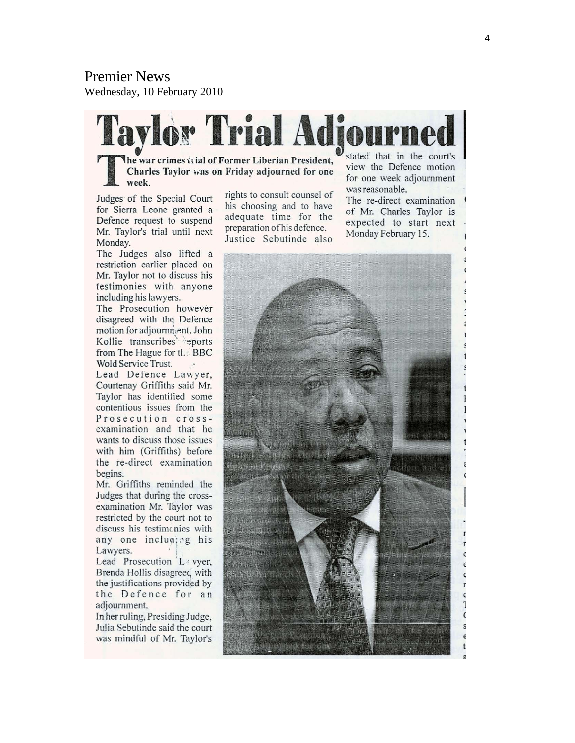# Premier News

Wednesday, 10 February 2010



Judges of the Special Court for Sierra Leone granted a Defence request to suspend Mr. Taylor's trial until next Monday.

week.

The Judges also lifted a restriction earlier placed on Mr. Taylor not to discuss his testimonies with anyone including his lawyers.

The Prosecution however disagreed with the Defence motion for adjournment. John Kollie transcribes eports from The Hague for the BBC Wold Service Trust.

Lead Defence Lawyer, Courtenay Griffiths said Mr. Taylor has identified some contentious issues from the Prosecution crossexamination and that he wants to discuss those issues with him (Griffiths) before the re-direct examination begins.

Mr. Griffiths reminded the Judges that during the crossexamination Mr. Taylor was restricted by the court not to discuss his testimonies with any one including his Lawyers.

Lead Prosecution L<sup>3</sup> vyer, Brenda Hollis disagreed with the justifications provided by the Defence for an adjournment.

In her ruling, Presiding Judge, Julia Sebutinde said the court was mindful of Mr. Taylor's

rights to consult counsel of his choosing and to have adequate time for the preparation of his defence. Justice Sebutinde also

for one week adjournment was reasonable.

The re-direct examination of Mr. Charles Taylor is expected to start next Monday February 15.

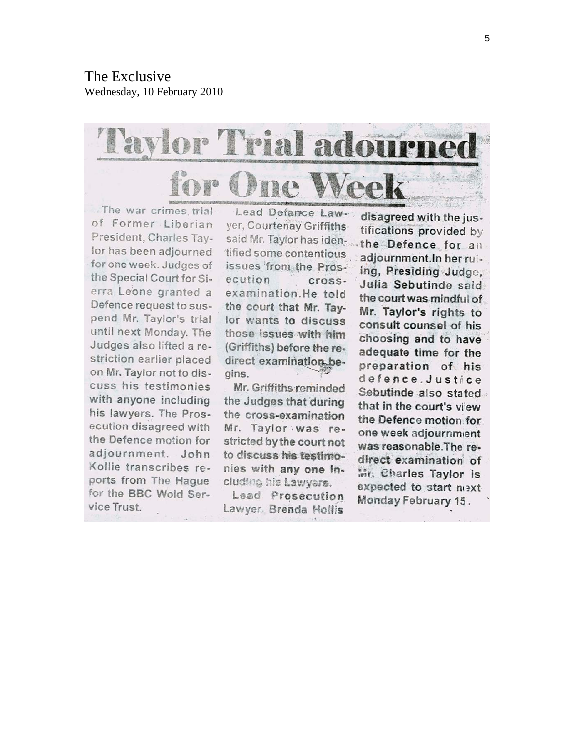

. The war crimes trial of Former Liberian President, Charles Taylor has been adjourned for one week. Judges of the Special Court for Sierra Leone granted a Defence request to suspend Mr. Taylor's trial until next Monday. The Judges also lifted a restriction earlier placed on Mr. Taylor not to discuss his testimonies with anyone including his lawyers. The Prosecution disagreed with the Defence motion for adjournment. John Kollie transcribes reports from The Haque for the BBC Wold Service Trust.

Lead Defence Lawyer, Courtenay Griffiths said Mr. Taylor has identified some contentious issues from the Prosecution crossexamination.He told the court that Mr. Taylor wants to discuss those issues with him (Griffiths) before the redirect examination begins.

Mr. Griffiths reminded the Judges that during the cross-examination Mr. Taylor was restricted by the court not to discuss his testimonies with any one including his Lawyars.

Lead Prosecution Lawyer, Brenda Hollis

disagreed with the justifications provided by the Defence for an adjournment.In her ruiing, Presiding Judge, Julia Sebutinde said the court was mindful of Mr. Taylor's rights to consult counsel of his choosing and to have adequate time for the preparation of his defence.Justice Sebutinde also stated that in the court's view the Defence motion for one week adjournment was reasonable. The redirect examination of Mr. Charles Taylor is expected to start next Monday February 15.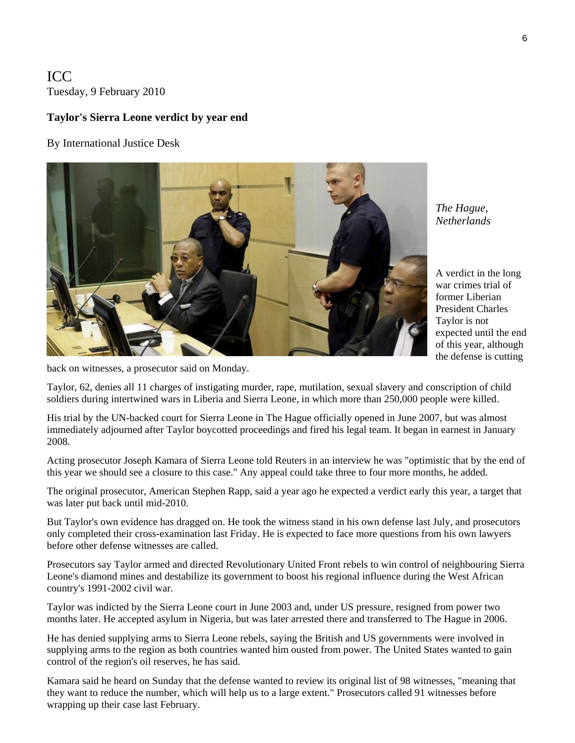ICC Tuesday, 9 February 2010

#### **Taylor's Sierra Leone verdict by year end**

By International Justice Desk



*The Hague, Netherlands* 

A verdict in the long war crimes trial of former Liberian President Charles Taylor is not expected until the e nd of this year, altho ugh the defense is cutting

back on witnesses, a prosecutor said on Monday.

Taylor, 62, denies all 11 charges of instigating murder, rape, mutilation, sexual slavery and conscription of child soldiers during intertwined wars in Liberia and Sierra Leone, in which more than 250,000 people were killed.

His trial by the UN-backed court for Sierra Leone in The Hague officially opened in June 2007, but was almost immediately adjourned after Taylor boycotted proceedings and fired his legal team. It began in earnest in January 2008.

Acting prosecutor Joseph Kamara of Sierra Leone told Reuters in an interview he was "optimistic that by the end of this year we should see a closure to this case." Any appeal could take three to four more months, he added.

The original prosecutor, American Stephen Rapp, said a year ago he expected a verdict early this year, a target that was later put back until mid-2010.

But Taylor's own evidence has dragged on. He took the witness stand in his own defense last July, and prosecutors only completed their cross-examination last Friday. He is expected to face more questions from his own lawyers before other defense witnesses are called.

Prosecutors say Taylor armed and directed Revolutionary United Front rebels to win control of neighbouring Sierra Leone's diamond mines and destabilize its government to boost his regional influence during the West African country's 1991-2002 civil war.

Taylor was indicted by the Sierra Leone court in June 2003 and, under US pressure, resigned from power two months later. He accepted asylum in Nigeria, but was later arrested there and transferred to The Hague in 2006.

He has denied supplying arms to Sierra Leone rebels, saying the British and US governments were involved in supplying arms to the region as both countries wanted him ousted from power. The United States wanted to gain control of the region's oil reserves, he has said.

Kamara said he heard on Sunday that the defense wanted to review its original list of 98 witnesses, "meaning that they want to reduce the number, which will help us to a large extent." Prosecutors called 91 witnesses before wrapping up their case last February.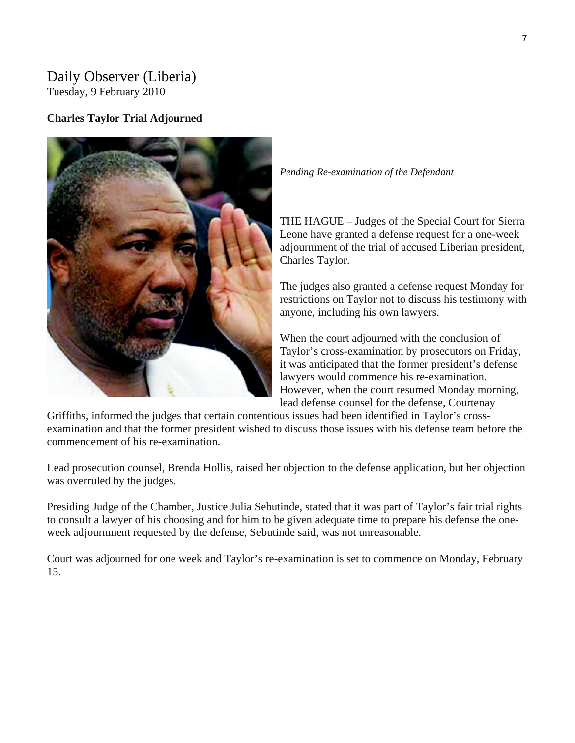# Daily Observer (Liberia)

Tuesday, 9 February 2010

### **Charles Taylor Trial Adjourned**



*Pending Re-examination of the Defendant* 

THE HAGUE – Judges of the Special Court for Sierra Leone have granted a defense request for a one-week adjournment of the trial of accused Liberian president, Charles Taylor.

The judges also granted a defense request Monday for restrictions on Taylor not to discuss his testimony with anyone, including his own lawyers.

When the court adjourned with the conclusion of Taylor's cross-examination by prosecutors on Friday, it was anticipated that the former president's defense lawyers would commence his re-examination. However, when the court resumed Monday morning, lead defense counsel for the defense, Courtenay

Griffiths, informed the judges that certain contentious issues had been identified in Taylor's crossexamination and that the former president wished to discuss those issues with his defense team before the commencement of his re-examination.

Lead prosecution counsel, Brenda Hollis, raised her objection to the defense application, but her objection was overruled by the judges.

Presiding Judge of the Chamber, Justice Julia Sebutinde, stated that it was part of Taylor's fair trial rights to consult a lawyer of his choosing and for him to be given adequate time to prepare his defense the oneweek adjournment requested by the defense, Sebutinde said, was not unreasonable.

Court was adjourned for one week and Taylor's re-examination is set to commence on Monday, February 15.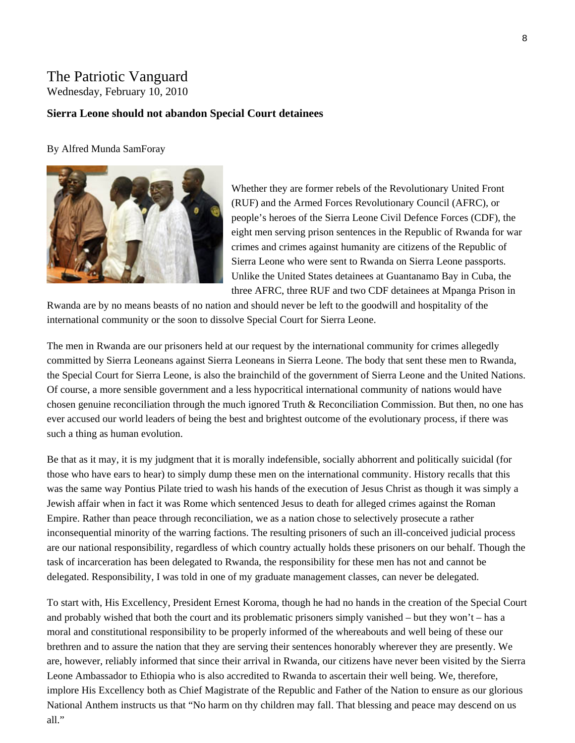# The Patriotic Vanguard

Wednesday, February 10, 2010

#### **S ierra Leone should not abandon Special Court detainees**

#### By Alfred Munda SamForay



Whether they are former rebels of the Revolutionary United Front (RUF) and the Armed Forces Revolutionary Council (AFRC), or people's heroes of the Sierra Leone Civil Defence Forces (CDF), the eight men serving prison sentences in the Republic of Rwanda for war crimes and crimes against humanity are citizens of the Republic of Sierra Leone who were sent to Rwanda on Sierra Leone passports. Unlike the United States detainees at Guantanamo Bay in Cuba, the three AFRC, three RUF and two CDF detainees at Mpanga Prison in

Rwanda are by no means beasts of no nation and should never be left to the goodwill and hospitality of the international community or the soon to dissolve Special Court for Sierra Leone.

The men in Rwanda are our prisoners held at our request by the international community for crimes allegedly committed by Sierra Leoneans against Sierra Leoneans in Sierra Leone. The body that sent these men to Rwanda, the Special Court for Sierra Leone, is also the brainchild of the government of Sierra Leone and the United Nations. Of course, a more sensible government and a less hypocritical international community of nations would have chosen genuine reconciliation through the much ignored Truth & Reconciliation Commission. But then, no one has ever accused our world leaders of being the best and brightest outcome of the evolutionary process, if there was such a thing as human evolution.

Be that as it may, it is my judgment that it is morally indefensible, socially abhorrent and politically suicidal (for those who have ears to hear) to simply dump these men on the international community. History recalls that this was the same way Pontius Pilate tried to wash his hands of the execution of Jesus Christ as though it was simply a Jewish affair when in fact it was Rome which sentenced Jesus to death for alleged crimes against the Roman Empire. Rather than peace through reconciliation, we as a nation chose to selectively prosecute a rather inconsequential minority of the warring factions. The resulting prisoners of such an ill-conceived judicial process are our national responsibility, regardless of which country actually holds these prisoners on our behalf. Though the task of incarceration has been delegated to Rwanda, the responsibility for these men has not and cannot be delegated. Responsibility, I was told in one of my graduate management classes, can never be delegated.

To start with, His Excellency, President Ernest Koroma, though he had no hands in the creation of the Special Court and probably wished that both the court and its problematic prisoners simply vanished – but they won't – has a moral and constitutional responsibility to be properly informed of the whereabouts and well being of these our brethren and to assure the nation that they are serving their sentences honorably wherever they are presently. We are, however, reliably informed that since their arrival in Rwanda, our citizens have never been visited by the Sierra Leone Ambassador to Ethiopia who is also accredited to Rwanda to ascertain their well being. We, therefore, implore His Excellency both as Chief Magistrate of the Republic and Father of the Nation to ensure as our glorious National Anthem instructs us that "No harm on thy children may fall. That blessing and peace may descend on us all."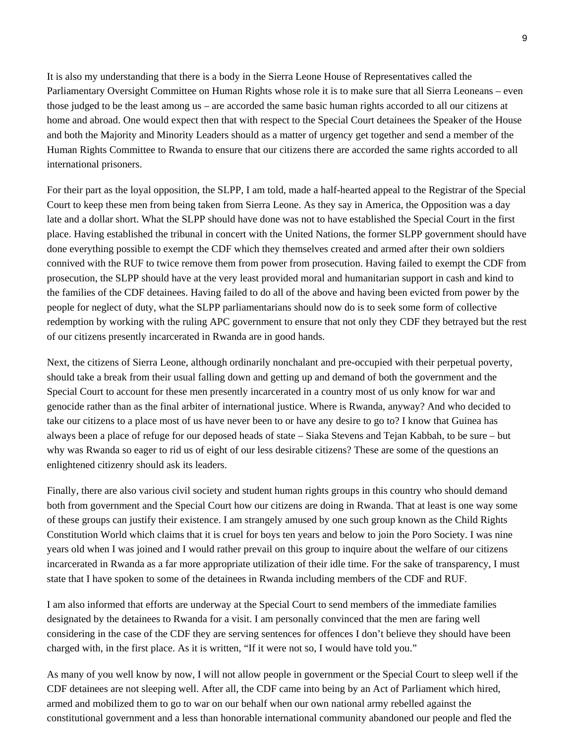It is also my understanding that there is a body in the Sierra Leone House of Representatives called the Parliamentary Oversight Committee on Human Rights whose role it is to make sure that all Sierra Leoneans – even those judged to be the least among us – are accorded the same basic human rights accorded to all our citizens at home and abroad. One would expect then that with respect to the Special Court detainees the Speaker of the House and both the Majority and Minority Leaders should as a matter of urgency get together and send a member of the Human Rights Committee to Rwanda to ensure that our citizens there are accorded the same rights accorded to all international prisoners.

For their part as the loyal opposition, the SLPP, I am told, made a half-hearted appeal to the Registrar of the Special Court to keep these men from being taken from Sierra Leone. As they say in America, the Opposition was a day late and a dollar short. What the SLPP should have done was not to have established the Special Court in the first place. Having established the tribunal in concert with the United Nations, the former SLPP government should have done everything possible to exempt the CDF which they themselves created and armed after their own soldiers connived with the RUF to twice remove them from power from prosecution. Having failed to exempt the CDF from prosecution, the SLPP should have at the very least provided moral and humanitarian support in cash and kind to the families of the CDF detainees. Having failed to do all of the above and having been evicted from power by the people for neglect of duty, what the SLPP parliamentarians should now do is to seek some form of collective redemption by working with the ruling APC government to ensure that not only they CDF they betrayed but the rest of our citizens presently incarcerated in Rwanda are in good hands.

Next, the citizens of Sierra Leone, although ordinarily nonchalant and pre-occupied with their perpetual poverty, should take a break from their usual falling down and getting up and demand of both the government and the Special Court to account for these men presently incarcerated in a country most of us only know for war and genocide rather than as the final arbiter of international justice. Where is Rwanda, anyway? And who decided to take our citizens to a place most of us have never been to or have any desire to go to? I know that Guinea has always been a place of refuge for our deposed heads of state – Siaka Stevens and Tejan Kabbah, to be sure – but why was Rwanda so eager to rid us of eight of our less desirable citizens? These are some of the questions an enlightened citizenry should ask its leaders.

Finally, there are also various civil society and student human rights groups in this country who should demand both from government and the Special Court how our citizens are doing in Rwanda. That at least is one way some of these groups can justify their existence. I am strangely amused by one such group known as the Child Rights Constitution World which claims that it is cruel for boys ten years and below to join the Poro Society. I was nine years old when I was joined and I would rather prevail on this group to inquire about the welfare of our citizens incarcerated in Rwanda as a far more appropriate utilization of their idle time. For the sake of transparency, I must state that I have spoken to some of the detainees in Rwanda including members of the CDF and RUF.

I am also informed that efforts are underway at the Special Court to send members of the immediate families designated by the detainees to Rwanda for a visit. I am personally convinced that the men are faring well considering in the case of the CDF they are serving sentences for offences I don't believe they should have been charged with, in the first place. As it is written, "If it were not so, I would have told you."

As many of you well know by now, I will not allow people in government or the Special Court to sleep well if the CDF detainees are not sleeping well. After all, the CDF came into being by an Act of Parliament which hired, armed and mobilized them to go to war on our behalf when our own national army rebelled against the constitutional government and a less than honorable international community abandoned our people and fled the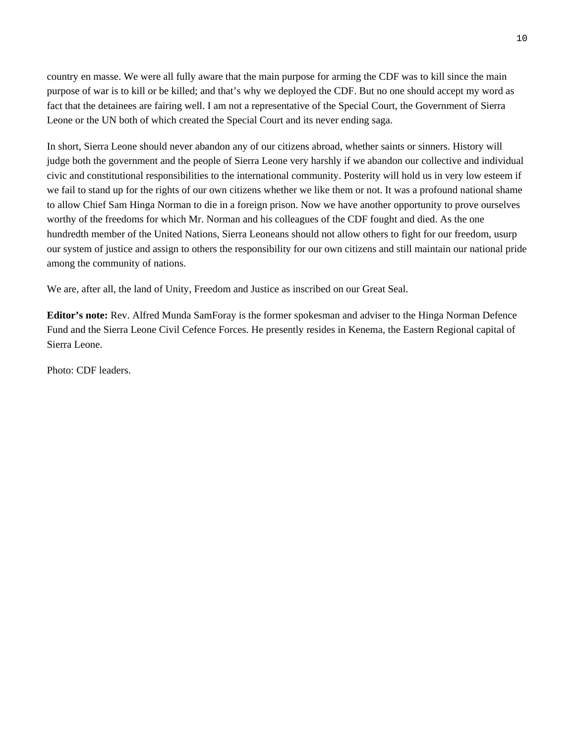country en masse. We were all fully aware that the main purpose for arming the CDF was to kill since the main purpose of war is to kill or be killed; and that's why we deployed the CDF. But no one should accept my word as fact that the detainees are fairing well. I am not a representative of the Special Court, the Government of Sierra Leone or the UN both of which created the Special Court and its never ending saga.

In short, Sierra Leone should never abandon any of our citizens abroad, whether saints or sinners. History will judge both the government and the people of Sierra Leone very harshly if we abandon our collective and individual civic and constitutional responsibilities to the international community. Posterity will hold us in very low esteem if we fail to stand up for the rights of our own citizens whether we like them or not. It was a profound national shame to allow Chief Sam Hinga Norman to die in a foreign prison. Now we have another opportunity to prove ourselves worthy of the freedoms for which Mr. Norman and his colleagues of the CDF fought and died. As the one hundredth member of the United Nations, Sierra Leoneans should not allow others to fight for our freedom, usurp our system of justice and assign to others the responsibility for our own citizens and still maintain our national pride among the community of nations.

We are, after all, the land of Unity, Freedom and Justice as inscribed on our Great Seal.

**Editor's note:** Rev. Alfred Munda SamForay is the former spokesman and adviser to the Hinga Norman Defence Fund and the Sierra Leone Civil Cefence Forces. He presently resides in Kenema, the Eastern Regional capital of Sierra Leone.

Photo: CDF leaders.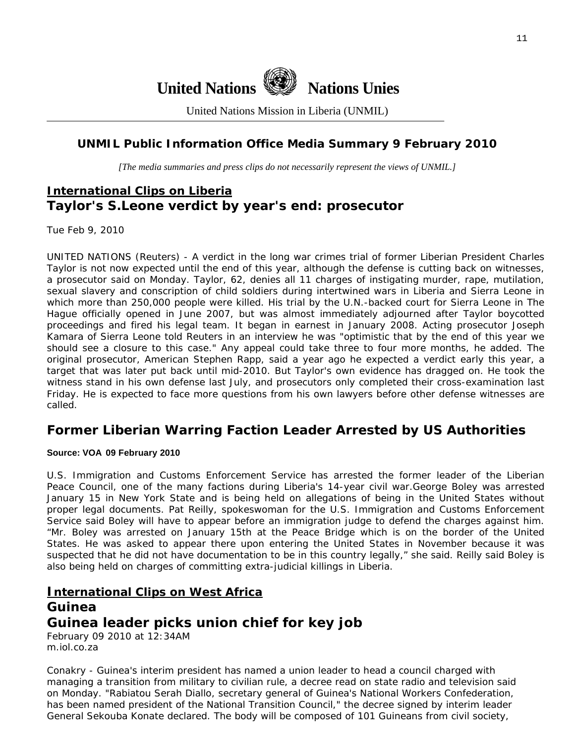

United Nations Mission in Liberia (UNMIL)

### **UNMIL Public Information Office Media Summary 9 February 2010**

*[The media summaries and press clips do not necessarily represent the views of UNMIL.]* 

# **International Clips on Liberia Taylor's S.Leone verdict by year's end: prosecutor**

Tue Feb 9, 2010

UNITED NATIONS (Reuters) - A verdict in the long war crimes trial of former Liberian President Charles Taylor is not now expected until the end of this year, although the defense is cutting back on witnesses, a prosecutor said on Monday. Taylor, 62, denies all 11 charges of instigating murder, rape, mutilation, sexual slavery and conscription of child soldiers during intertwined wars in Liberia and Sierra Leone in which more than 250,000 people were killed. His trial by the U.N.-backed court for Sierra Leone in The Hague officially opened in June 2007, but was almost immediately adjourned after Taylor boycotted proceedings and fired his legal team. It began in earnest in January 2008. Acting prosecutor Joseph Kamara of Sierra Leone told Reuters in an interview he was "optimistic that by the end of this year we should see a closure to this case." Any appeal could take three to four more months, he added. The original prosecutor, American Stephen Rapp, said a year ago he expected a verdict early this year, a target that was later put back until mid-2010. But Taylor's own evidence has dragged on. He took the witness stand in his own defense last July, and prosecutors only completed their cross-examination last Friday. He is expected to face more questions from his own lawyers before other defense witnesses are called.

## **Former Liberian Warring Faction Leader Arrested by US Authorities**

#### **Source: VOA 09 February 2010**

U.S. Immigration and Customs Enforcement Service has arrested the former leader of the Liberian Peace Council, one of the many factions during Liberia's 14-year civil war.George Boley was arrested January 15 in New York State and is being held on allegations of being in the United States without proper legal documents. Pat Reilly, spokeswoman for the U.S. Immigration and Customs Enforcement Service said Boley will have to appear before an immigration judge to defend the charges against him. "Mr. Boley was arrested on January 15th at the Peace Bridge which is on the border of the United States. He was asked to appear there upon entering the United States in November because it was suspected that he did not have documentation to be in this country legally," she said. Reilly said Boley is also being held on charges of committing extra-judicial killings in Liberia.

### **International Clips on West Africa**

### **Guinea**

# **Guinea leader picks union chief for key job**

February 09 2010 at 12:34AM m.iol.co.za

Conakry - Guinea's interim president has named a union leader to head a council charged with managing a transition from military to civilian rule, a decree read on state radio and television said on Monday. "Rabiatou Serah Diallo, secretary general of Guinea's National Workers Confederation, has been named president of the National Transition Council," the decree signed by interim leader General Sekouba Konate declared. The body will be composed of 101 Guineans from civil society,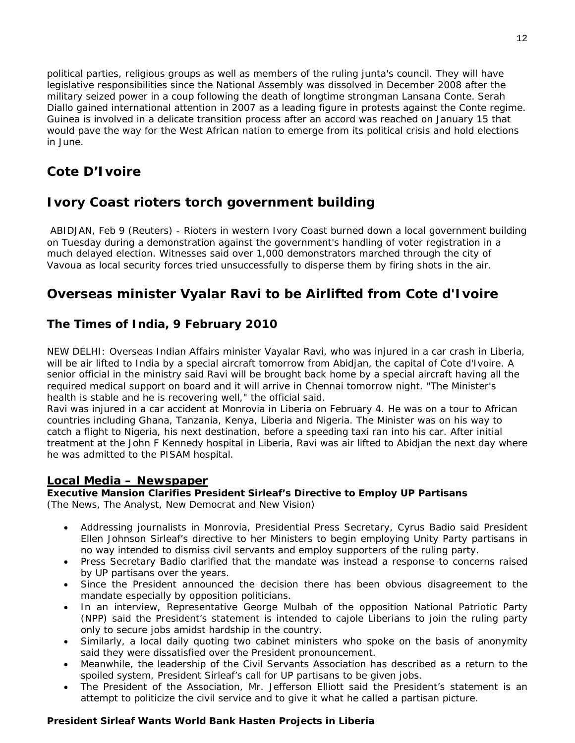political parties, religious groups as well as members of the ruling junta's council. They will have legislative responsibilities since the National Assembly was dissolved in December 2008 after the military seized power in a coup following the death of longtime strongman Lansana Conte. Serah Diallo gained international attention in 2007 as a leading figure in protests against the Conte regime. Guinea is involved in a delicate transition process after an accord was reached on January 15 that would pave the way for the West African nation to emerge from its political crisis and hold elections in June.

# **Cote D'Ivoire**

# **Ivory Coast rioters torch government building**

 ABIDJAN, Feb 9 (Reuters) - Rioters in western Ivory Coast burned down a local government building on Tuesday during a demonstration against the government's handling of voter registration in a much delayed election. Witnesses said over 1,000 demonstrators marched through the city of Vavoua as local security forces tried unsuccessfully to disperse them by firing shots in the air.

# **Overseas minister Vyalar Ravi to be Airlifted from Cote d'Ivoire**

### **The Times of India, 9 February 2010**

NEW DELHI: Overseas Indian Affairs minister Vayalar Ravi, who was injured in a car crash in Liberia, will be air lifted to India by a special aircraft tomorrow from Abidjan, the capital of Cote d'Ivoire. A senior official in the ministry said Ravi will be brought back home by a special aircraft having all the required medical support on board and it will arrive in Chennai tomorrow night. "The Minister's health is stable and he is recovering well," the official said.

Ravi was injured in a car accident at Monrovia in Liberia on February 4. He was on a tour to African countries including Ghana, Tanzania, Kenya, Liberia and Nigeria. The Minister was on his way to catch a flight to Nigeria, his next destination, before a speeding taxi ran into his car. After initial treatment at the John F Kennedy hospital in Liberia, Ravi was air lifted to Abidjan the next day where he was admitted to the PISAM hospital.

### **Local Media – Newspaper**

# **Executive Mansion Clarifies President Sirleaf's Directive to Employ UP Partisans**

(The News, The Analyst, New Democrat and New Vision)

- Addressing journalists in Monrovia, Presidential Press Secretary, Cyrus Badio said President Ellen Johnson Sirleaf's directive to her Ministers to begin employing Unity Party partisans in no way intended to dismiss civil servants and employ supporters of the ruling party.
- Press Secretary Badio clarified that the mandate was instead a response to concerns raised by UP partisans over the years.
- Since the President announced the decision there has been obvious disagreement to the mandate especially by opposition politicians.
- In an interview, Representative George Mulbah of the opposition National Patriotic Party (NPP) said the President's statement is intended to cajole Liberians to join the ruling party only to secure jobs amidst hardship in the country.
- Similarly, a local daily quoting two cabinet ministers who spoke on the basis of anonymity said they were dissatisfied over the President pronouncement.
- Meanwhile, the leadership of the Civil Servants Association has described as a return to the spoiled system, President Sirleaf's call for UP partisans to be given jobs.
- The President of the Association, Mr. Jefferson Elliott said the President's statement is an attempt to politicize the civil service and to give it what he called a partisan picture.

### **President Sirleaf Wants World Bank Hasten Projects in Liberia**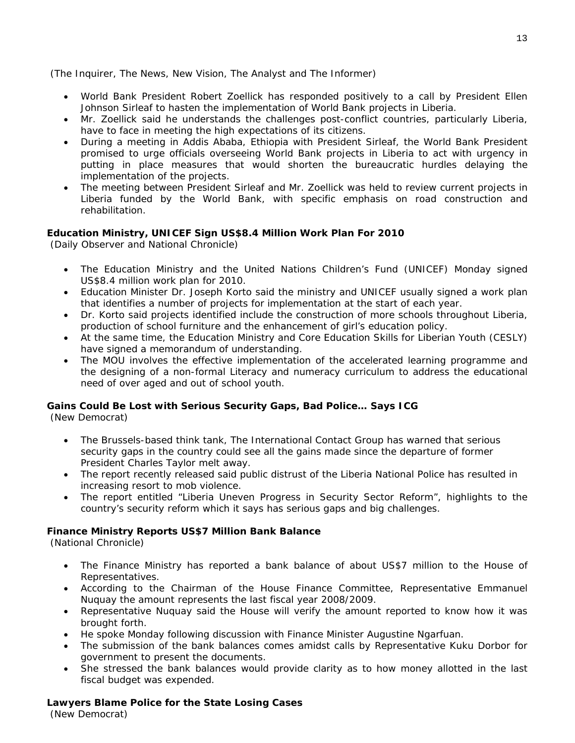(The Inquirer, The News, New Vision, The Analyst and The Informer)

- World Bank President Robert Zoellick has responded positively to a call by President Ellen Johnson Sirleaf to hasten the implementation of World Bank projects in Liberia.
- Mr. Zoellick said he understands the challenges post-conflict countries, particularly Liberia, have to face in meeting the high expectations of its citizens.
- During a meeting in Addis Ababa, Ethiopia with President Sirleaf, the World Bank President promised to urge officials overseeing World Bank projects in Liberia to act with urgency in putting in place measures that would shorten the bureaucratic hurdles delaying the implementation of the projects.
- The meeting between President Sirleaf and Mr. Zoellick was held to review current projects in Liberia funded by the World Bank, with specific emphasis on road construction and rehabilitation.

#### **Education Ministry, UNICEF Sign US\$8.4 Million Work Plan For 2010**

(Daily Observer and National Chronicle)

- The Education Ministry and the United Nations Children's Fund (UNICEF) Monday signed US\$8.4 million work plan for 2010.
- Education Minister Dr. Joseph Korto said the ministry and UNICEF usually signed a work plan that identifies a number of projects for implementation at the start of each year.
- Dr. Korto said projects identified include the construction of more schools throughout Liberia, production of school furniture and the enhancement of girl's education policy.
- At the same time, the Education Ministry and Core Education Skills for Liberian Youth (CESLY) have signed a memorandum of understanding.
- The MOU involves the effective implementation of the accelerated learning programme and the designing of a non-formal Literacy and numeracy curriculum to address the educational need of over aged and out of school youth.

#### **Gains Could Be Lost with Serious Security Gaps, Bad Police… Says ICG**

(New Democrat)

- The Brussels-based think tank, The International Contact Group has warned that serious security gaps in the country could see all the gains made since the departure of former President Charles Taylor melt away.
- The report recently released said public distrust of the Liberia National Police has resulted in increasing resort to mob violence.
- The report entitled "Liberia Uneven Progress in Security Sector Reform", highlights to the country's security reform which it says has serious gaps and big challenges.

#### **Finance Ministry Reports US\$7 Million Bank Balance**

(National Chronicle)

- The Finance Ministry has reported a bank balance of about US\$7 million to the House of Representatives.
- According to the Chairman of the House Finance Committee, Representative Emmanuel Nuquay the amount represents the last fiscal year 2008/2009.
- Representative Nuquay said the House will verify the amount reported to know how it was brought forth.
- He spoke Monday following discussion with Finance Minister Augustine Ngarfuan.
- The submission of the bank balances comes amidst calls by Representative Kuku Dorbor for government to present the documents.
- She stressed the bank balances would provide clarity as to how money allotted in the last fiscal budget was expended.

# **Lawyers Blame Police for the State Losing Cases**

(New Democrat)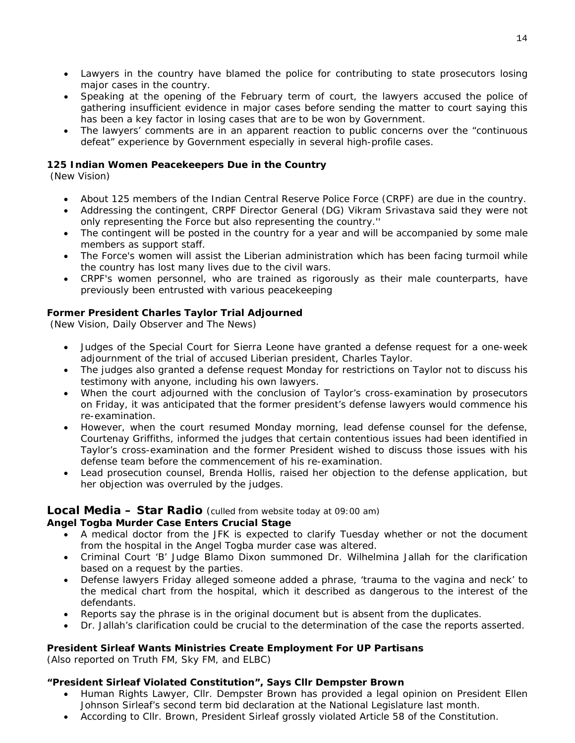- Lawyers in the country have blamed the police for contributing to state prosecutors losing major cases in the country.
- Speaking at the opening of the February term of court, the lawyers accused the police of gathering insufficient evidence in major cases before sending the matter to court saying this has been a key factor in losing cases that are to be won by Government.
- The lawyers' comments are in an apparent reaction to public concerns over the "continuous defeat" experience by Government especially in several high-profile cases.

### **125 Indian Women Peacekeepers Due in the Country**

(New Vision)

- About 125 members of the Indian Central Reserve Police Force (CRPF) are due in the country.
- Addressing the contingent, CRPF Director General (DG) Vikram Srivastava said they were not only representing the Force but also representing the country.''
- The contingent will be posted in the country for a year and will be accompanied by some male members as support staff.
- The Force's women will assist the Liberian administration which has been facing turmoil while the country has lost many lives due to the civil wars.
- CRPF's women personnel, who are trained as rigorously as their male counterparts, have previously been entrusted with various peacekeeping

#### **Former President Charles Taylor Trial Adjourned**

(New Vision, Daily Observer and The News)

- Judges of the Special Court for Sierra Leone have granted a defense request for a one-week adjournment of the trial of accused Liberian president, Charles Taylor.
- The judges also granted a defense request Monday for restrictions on Taylor not to discuss his testimony with anyone, including his own lawyers.
- When the court adjourned with the conclusion of Taylor's cross-examination by prosecutors on Friday, it was anticipated that the former president's defense lawyers would commence his re-examination.
- However, when the court resumed Monday morning, lead defense counsel for the defense, Courtenay Griffiths, informed the judges that certain contentious issues had been identified in Taylor's cross-examination and the former President wished to discuss those issues with his defense team before the commencement of his re-examination.
- Lead prosecution counsel, Brenda Hollis, raised her objection to the defense application, but her objection was overruled by the judges.

#### **Local Media – Star Radio** *(culled from website today at 09:00 am)*

#### **Angel Togba Murder Case Enters Crucial Stage**

- A medical doctor from the JFK is expected to clarify Tuesday whether or not the document from the hospital in the Angel Togba murder case was altered.
- Criminal Court 'B' Judge Blamo Dixon summoned Dr. Wilhelmina Jallah for the clarification based on a request by the parties.
- Defense lawyers Friday alleged someone added a phrase, 'trauma to the vagina and neck' to the medical chart from the hospital, which it described as dangerous to the interest of the defendants.
- Reports say the phrase is in the original document but is absent from the duplicates.
- Dr. Jallah's clarification could be crucial to the determination of the case the reports asserted.

### **President Sirleaf Wants Ministries Create Employment For UP Partisans**

*(Also reported on Truth FM, Sky FM, and ELBC)*

#### **"President Sirleaf Violated Constitution", Says Cllr Dempster Brown**

- Human Rights Lawyer, Cllr. Dempster Brown has provided a legal opinion on President Ellen Johnson Sirleaf's second term bid declaration at the National Legislature last month.
- According to Cllr. Brown, President Sirleaf grossly violated Article 58 of the Constitution.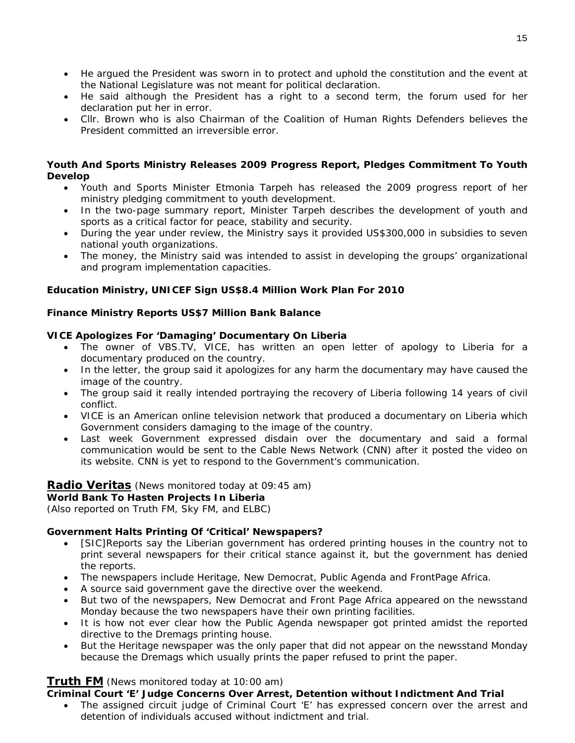- He argued the President was sworn in to protect and uphold the constitution and the event at the National Legislature was not meant for political declaration.
- He said although the President has a right to a second term, the forum used for her declaration put her in error.
- Cllr. Brown who is also Chairman of the Coalition of Human Rights Defenders believes the President committed an irreversible error.

#### **Youth And Sports Ministry Releases 2009 Progress Report, Pledges Commitment To Youth Develop**

- Youth and Sports Minister Etmonia Tarpeh has released the 2009 progress report of her ministry pledging commitment to youth development.
- In the two-page summary report, Minister Tarpeh describes the development of youth and sports as a critical factor for peace, stability and security.
- During the year under review, the Ministry says it provided US\$300,000 in subsidies to seven national youth organizations.
- The money, the Ministry said was intended to assist in developing the groups' organizational and program implementation capacities.

### **Education Ministry, UNICEF Sign US\$8.4 Million Work Plan For 2010**

### **Finance Ministry Reports US\$7 Million Bank Balance**

### **VICE Apologizes For 'Damaging' Documentary On Liberia**

- The owner of VBS.TV, VICE, has written an open letter of apology to Liberia for a documentary produced on the country.
- In the letter, the group said it apologizes for any harm the documentary may have caused the image of the country.
- The group said it really intended portraying the recovery of Liberia following 14 years of civil conflict.
- VICE is an American online television network that produced a documentary on Liberia which Government considers damaging to the image of the country.
- Last week Government expressed disdain over the documentary and said a formal communication would be sent to the Cable News Network (CNN) after it posted the video on its website. CNN is yet to respond to the Government's communication.

### **Radio Veritas** *(News monitored today at 09:45 am)*

### **World Bank To Hasten Projects In Liberia**

*(Also reported on Truth FM, Sky FM, and ELBC)* 

### **Government Halts Printing Of 'Critical' Newspapers?**

- [SIC]Reports say the Liberian government has ordered printing houses in the country not to print several newspapers for their critical stance against it, but the government has denied the reports.
- The newspapers include Heritage, New Democrat, Public Agenda and FrontPage Africa.
- A source said government gave the directive over the weekend.
- But two of the newspapers, New Democrat and Front Page Africa appeared on the newsstand Monday because the two newspapers have their own printing facilities.
- It is how not ever clear how the Public Agenda newspaper got printed amidst the reported directive to the Dremags printing house.
- But the Heritage newspaper was the only paper that did not appear on the newsstand Monday because the Dremags which usually prints the paper refused to print the paper.

### **Truth FM** *(News monitored today at 10:00 am)*

### **Criminal Court 'E' Judge Concerns Over Arrest, Detention without Indictment And Trial**

• The assigned circuit judge of Criminal Court 'E' has expressed concern over the arrest and detention of individuals accused without indictment and trial.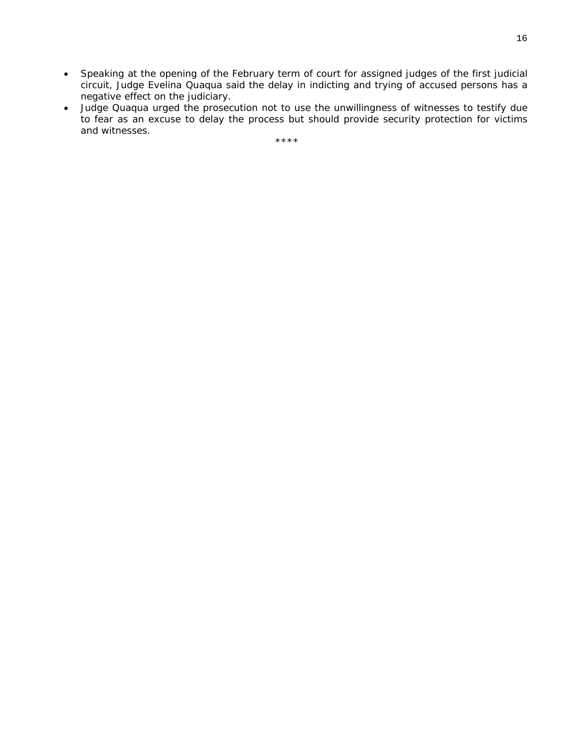- Speaking at the opening of the February term of court for assigned judges of the first judicial circuit, Judge Evelina Quaqua said the delay in indicting and trying of accused persons has a negative effect on the judiciary.
- Judge Quaqua urged the prosecution not to use the unwillingness of witnesses to testify due to fear as an excuse to delay the process but should provide security protection for victims and witnesses.

\*\*\*\*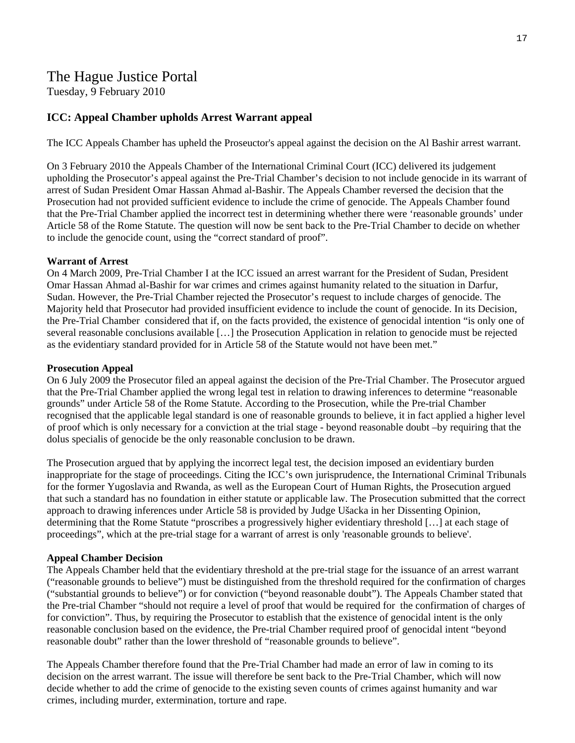### The Hague Justice Portal

Tuesday, 9 February 2010

### **ICC: Appeal Chamber upholds Arrest Warrant appeal**

The ICC Appeals Chamber has upheld the Proseuctor's appeal against the decision on the Al Bashir arrest warrant.

On 3 February 2010 the Appeals Chamber of the International Criminal Court (ICC) delivered its judgement upholding the Prosecutor's appeal against the Pre-Trial Chamber's decision to not include genocide in its warrant of arrest of Sudan President Omar Hassan Ahmad al-Bashir. The Appeals Chamber reversed the decision that the Prosecution had not provided sufficient evidence to include the crime of genocide. The Appeals Chamber found that the Pre-Trial Chamber applied the incorrect test in determining whether there were 'reasonable grounds' under Article 58 of the Rome Statute. The question will now be sent back to the Pre-Trial Chamber to decide on whether to include the genocide count, using the "correct standard of proof".

#### **Warrant of Arrest**

On 4 March 2009, Pre-Trial Chamber I at the ICC issued an arrest warrant for the President of Sudan, President Omar Hassan Ahmad al-Bashir for war crimes and crimes against humanity related to the situation in Darfur, Sudan. However, the Pre-Trial Chamber rejected the Prosecutor's request to include charges of genocide. The Majority held that Prosecutor had provided insufficient evidence to include the count of genocide. In its Decision, the Pre-Trial Chamber considered that if, on the facts provided, the existence of genocidal intention "is only one of several reasonable conclusions available […] the Prosecution Application in relation to genocide must be rejected as the evidentiary standard provided for in Article 58 of the Statute would not have been met."

#### **Prosecution Appeal**

On 6 July 2009 the Prosecutor filed an appeal against the decision of the Pre-Trial Chamber. The Prosecutor argued that the Pre-Trial Chamber applied the wrong legal test in relation to drawing inferences to determine "reasonable grounds" under Article 58 of the Rome Statute. According to the Prosecution, while the Pre-trial Chamber recognised that the applicable legal standard is one of reasonable grounds to believe, it in fact applied a higher level of proof which is only necessary for a conviction at the trial stage - beyond reasonable doubt –by requiring that the dolus specialis of genocide be the only reasonable conclusion to be drawn.

The Prosecution argued that by applying the incorrect legal test, the decision imposed an evidentiary burden inappropriate for the stage of proceedings. Citing the ICC's own jurisprudence, the International Criminal Tribunals for the former Yugoslavia and Rwanda, as well as the European Court of Human Rights, the Prosecution argued that such a standard has no foundation in either statute or applicable law. The Prosecution submitted that the correct approach to drawing inferences under Article 58 is provided by Judge Ušacka in her Dissenting Opinion, determining that the Rome Statute "proscribes a progressively higher evidentiary threshold […] at each stage of proceedings", which at the pre-trial stage for a warrant of arrest is only 'reasonable grounds to believe'.

#### **Appeal Chamber Decision**

The Appeals Chamber held that the evidentiary threshold at the pre-trial stage for the issuance of an arrest warrant ("reasonable grounds to believe") must be distinguished from the threshold required for the confirmation of charges ("substantial grounds to believe") or for conviction ("beyond reasonable doubt"). The Appeals Chamber stated that the Pre-trial Chamber "should not require a level of proof that would be required for the confirmation of charges of for conviction". Thus, by requiring the Prosecutor to establish that the existence of genocidal intent is the only reasonable conclusion based on the evidence, the Pre-trial Chamber required proof of genocidal intent "beyond reasonable doubt" rather than the lower threshold of "reasonable grounds to believe".

The Appeals Chamber therefore found that the Pre-Trial Chamber had made an error of law in coming to its decision on the arrest warrant. The issue will therefore be sent back to the Pre-Trial Chamber, which will now decide whether to add the crime of genocide to the existing seven counts of crimes against humanity and war crimes, including murder, extermination, torture and rape.